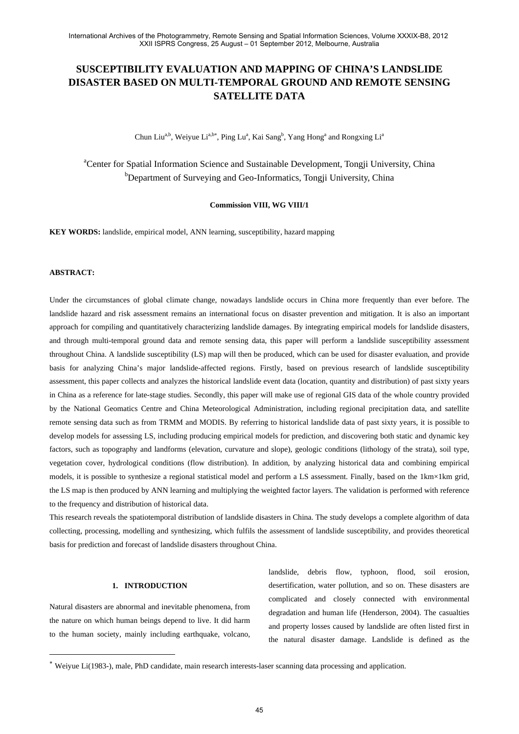# **SUSCEPTIBILITY EVALUATION AND MAPPING OF CHINA'S LANDSLIDE DISASTER BASED ON MULTI-TEMPORAL GROUND AND REMOTE SENSING SATELLITE DATA**

Chun Liu<sup>a,b</sup>, Weiyue Li<sup>a,b\*</sup>, Ping Lu<sup>a</sup>, Kai Sang<sup>b</sup>, Yang Hong<sup>a</sup> and Rongxing Li<sup>a</sup>

<sup>a</sup>Center for Spatial Information Science and Sustainable Development, Tongji University, China <sup>b</sup>Department of Surveying and Geo-Informatics, Tongji University, China

**Commission VIII, WG VIII/1** 

**KEY WORDS:** landslide, empirical model, ANN learning, susceptibility, hazard mapping

# **ABSTRACT:**

 $\overline{a}$ 

Under the circumstances of global climate change, nowadays landslide occurs in China more frequently than ever before. The landslide hazard and risk assessment remains an international focus on disaster prevention and mitigation. It is also an important approach for compiling and quantitatively characterizing landslide damages. By integrating empirical models for landslide disasters, and through multi-temporal ground data and remote sensing data, this paper will perform a landslide susceptibility assessment throughout China. A landslide susceptibility (LS) map will then be produced, which can be used for disaster evaluation, and provide basis for analyzing China's major landslide-affected regions. Firstly, based on previous research of landslide susceptibility assessment, this paper collects and analyzes the historical landslide event data (location, quantity and distribution) of past sixty years in China as a reference for late-stage studies. Secondly, this paper will make use of regional GIS data of the whole country provided by the National Geomatics Centre and China Meteorological Administration, including regional precipitation data, and satellite remote sensing data such as from TRMM and MODIS. By referring to historical landslide data of past sixty years, it is possible to develop models for assessing LS, including producing empirical models for prediction, and discovering both static and dynamic key factors, such as topography and landforms (elevation, curvature and slope), geologic conditions (lithology of the strata), soil type, vegetation cover, hydrological conditions (flow distribution). In addition, by analyzing historical data and combining empirical models, it is possible to synthesize a regional statistical model and perform a LS assessment. Finally, based on the 1km×1km grid, the LS map is then produced by ANN learning and multiplying the weighted factor layers. The validation is performed with reference to the frequency and distribution of historical data.

This research reveals the spatiotemporal distribution of landslide disasters in China. The study develops a complete algorithm of data collecting, processing, modelling and synthesizing, which fulfils the assessment of landslide susceptibility, and provides theoretical basis for prediction and forecast of landslide disasters throughout China.

# **1. INTRODUCTION**

Natural disasters are abnormal and inevitable phenomena, from the nature on which human beings depend to live. It did harm to the human society, mainly including earthquake, volcano, landslide, debris flow, typhoon, flood, soil erosion, desertification, water pollution, and so on. These disasters are complicated and closely connected with environmental degradation and human life (Henderson, 2004). The casualties and property losses caused by landslide are often listed first in the natural disaster damage. Landslide is defined as the

Weiyue Li(1983-), male, PhD candidate, main research interests-laser scanning data processing and application.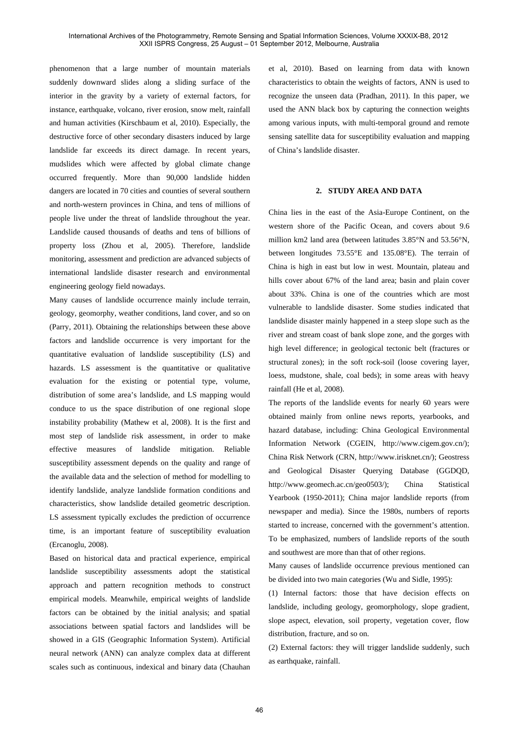phenomenon that a large number of mountain materials suddenly downward slides along a sliding surface of the interior in the gravity by a variety of external factors, for instance, earthquake, volcano, river erosion, snow melt, rainfall and human activities (Kirschbaum et al, 2010). Especially, the destructive force of other secondary disasters induced by large landslide far exceeds its direct damage. In recent years, mudslides which were affected by global climate change occurred frequently. More than 90,000 landslide hidden dangers are located in 70 cities and counties of several southern and north-western provinces in China, and tens of millions of people live under the threat of landslide throughout the year. Landslide caused thousands of deaths and tens of billions of property loss (Zhou et al, 2005). Therefore, landslide monitoring, assessment and prediction are advanced subjects of international landslide disaster research and environmental engineering geology field nowadays.

Many causes of landslide occurrence mainly include terrain, geology, geomorphy, weather conditions, land cover, and so on (Parry, 2011). Obtaining the relationships between these above factors and landslide occurrence is very important for the quantitative evaluation of landslide susceptibility (LS) and hazards. LS assessment is the quantitative or qualitative evaluation for the existing or potential type, volume, distribution of some area's landslide, and LS mapping would conduce to us the space distribution of one regional slope instability probability (Mathew et al, 2008). It is the first and most step of landslide risk assessment, in order to make effective measures of landslide mitigation. Reliable susceptibility assessment depends on the quality and range of the available data and the selection of method for modelling to identify landslide, analyze landslide formation conditions and characteristics, show landslide detailed geometric description. LS assessment typically excludes the prediction of occurrence time, is an important feature of susceptibility evaluation (Ercanoglu, 2008).

Based on historical data and practical experience, empirical landslide susceptibility assessments adopt the statistical approach and pattern recognition methods to construct empirical models. Meanwhile, empirical weights of landslide factors can be obtained by the initial analysis; and spatial associations between spatial factors and landslides will be showed in a GIS (Geographic Information System). Artificial neural network (ANN) can analyze complex data at different scales such as continuous, indexical and binary data (Chauhan et al, 2010). Based on learning from data with known characteristics to obtain the weights of factors, ANN is used to recognize the unseen data (Pradhan, 2011). In this paper, we used the ANN black box by capturing the connection weights among various inputs, with multi-temporal ground and remote sensing satellite data for susceptibility evaluation and mapping of China's landslide disaster.

## **2. STUDY AREA AND DATA**

China lies in the east of the Asia-Europe Continent, on the western shore of the Pacific Ocean, and covers about 9.6 million km2 land area (between latitudes 3.85°N and 53.56°N, between longitudes 73.55°E and 135.08°E). The terrain of China is high in east but low in west. Mountain, plateau and hills cover about 67% of the land area; basin and plain cover about 33%. China is one of the countries which are most vulnerable to landslide disaster. Some studies indicated that landslide disaster mainly happened in a steep slope such as the river and stream coast of bank slope zone, and the gorges with high level difference; in geological tectonic belt (fractures or structural zones); in the soft rock-soil (loose covering layer, loess, mudstone, shale, coal beds); in some areas with heavy rainfall (He et al, 2008).

The reports of the landslide events for nearly 60 years were obtained mainly from online news reports, yearbooks, and hazard database, including: China Geological Environmental Information Network (CGEIN, http://www.cigem.gov.cn/); China Risk Network (CRN, http://www.irisknet.cn/); Geostress and Geological Disaster Querying Database (GGDQD, http://www.geomech.ac.cn/geo0503/); China Statistical Yearbook (1950-2011); China major landslide reports (from newspaper and media). Since the 1980s, numbers of reports started to increase, concerned with the government's attention. To be emphasized, numbers of landslide reports of the south and southwest are more than that of other regions.

Many causes of landslide occurrence previous mentioned can be divided into two main categories (Wu and Sidle, 1995):

(1) Internal factors: those that have decision effects on landslide, including geology, geomorphology, slope gradient, slope aspect, elevation, soil property, vegetation cover, flow distribution, fracture, and so on.

(2) External factors: they will trigger landslide suddenly, such as earthquake, rainfall.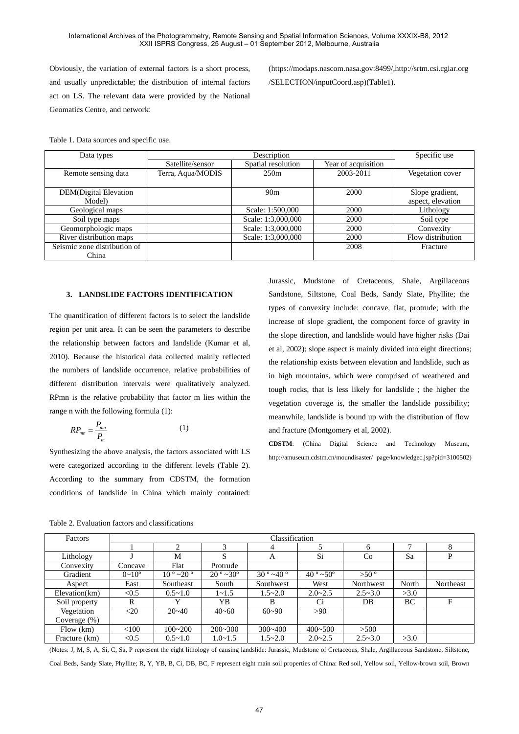Obviously, the variation of external factors is a short process, and usually unpredictable; the distribution of internal factors act on LS. The relevant data were provided by the National Geomatics Centre, and network:

(https://modaps.nascom.nasa.gov:8499/,http://srtm.csi.cgiar.org /SELECTION/inputCoord.asp)(Table1).

Table 1. Data sources and specific use.

| Data types                    |                   | Specific use       |                     |                   |
|-------------------------------|-------------------|--------------------|---------------------|-------------------|
|                               | Satellite/sensor  | Spatial resolution | Year of acquisition |                   |
| Remote sensing data           | Terra, Aqua/MODIS | 250m               | 2003-2011           | Vegetation cover  |
|                               |                   |                    |                     |                   |
| <b>DEM</b> (Digital Elevation |                   | 90 <sub>m</sub>    | 2000                | Slope gradient,   |
| Model)                        |                   |                    |                     | aspect, elevation |
| Geological maps               |                   | Scale: 1:500,000   | 2000                | Lithology         |
| Soil type maps                |                   | Scale: 1:3,000,000 | 2000                | Soil type         |
| Geomorphologic maps           |                   | Scale: 1:3,000,000 | 2000                | Convexity         |
| River distribution maps       |                   | Scale: 1:3,000,000 | 2000                | Flow distribution |
| Seismic zone distribution of  |                   |                    | 2008                | Fracture          |
| China                         |                   |                    |                     |                   |

## **3. LANDSLIDE FACTORS IDENTIFICATION**

The quantification of different factors is to select the landslide region per unit area. It can be seen the parameters to describe the relationship between factors and landslide (Kumar et al, 2010). Because the historical data collected mainly reflected the numbers of landslide occurrence, relative probabilities of different distribution intervals were qualitatively analyzed. RPmn is the relative probability that factor m lies within the range n with the following formula (1):

$$
RP_{mn} = \frac{P_{mn}}{P_m} \tag{1}
$$

Synthesizing the above analysis, the factors associated with LS were categorized according to the different levels (Table 2). According to the summary from CDSTM, the formation conditions of landslide in China which mainly contained:

Jurassic, Mudstone of Cretaceous, Shale, Argillaceous Sandstone, Siltstone, Coal Beds, Sandy Slate, Phyllite; the types of convexity include: concave, flat, protrude; with the increase of slope gradient, the component force of gravity in the slope direction, and landslide would have higher risks (Dai et al, 2002); slope aspect is mainly divided into eight directions; the relationship exists between elevation and landslide, such as in high mountains, which were comprised of weathered and tough rocks, that is less likely for landslide ; the higher the vegetation coverage is, the smaller the landslide possibility; meanwhile, landslide is bound up with the distribution of flow and fracture (Montgomery et al, 2002).

**CDSTM**: (China Digital Science and Technology Museum, http://amuseum.cdstm.cn/moundisaster/ page/knowledgec.jsp?pid=3100502)

Table 2. Evaluation factors and classifications

| Factors         | Classification      |                             |                    |                             |                   |               |       |           |
|-----------------|---------------------|-----------------------------|--------------------|-----------------------------|-------------------|---------------|-------|-----------|
|                 |                     | ി                           | 3                  | 4                           |                   | 6             |       | 8         |
| Lithology       |                     | М                           | S                  | A                           | Si                | Co            | Sa    | P         |
| Convexity       | Concave             | Flat                        | Protrude           |                             |                   |               |       |           |
| Gradient        | $0 \sim 10^{\circ}$ | $10^{\circ}$ ~20 $^{\circ}$ | $20^{\circ}$ ~ 30° | $30^{\circ}$ ~40 $^{\circ}$ | $40^{\circ}$ ~50° | $>50^{\circ}$ |       |           |
| Aspect          | East                | Southeast                   | South              | Southwest                   | West              | Northwest     | North | Northeast |
| Elevation(km)   | < 0.5               | $0.5 \sim 1.0$              | $1 - 1.5$          | $1.5 - 2.0$                 | $2.0 - 2.5$       | $2.5 - 3.0$   | >3.0  |           |
| Soil property   | R                   | v                           | YB                 | B                           | Ci                | DB            | BC    | F         |
| Vegetation      | $<$ 20              | $20 - 40$                   | $40 - 60$          | $60 - 90$                   | >90               |               |       |           |
| Coverage $(\%)$ |                     |                             |                    |                             |                   |               |       |           |
| Flow(km)        | < 100               | $100 - 200$                 | $200 - 300$        | $300 - 400$                 | $400 - 500$       | >500          |       |           |
| Fracture (km)   | < 0.5               | $0.5 \sim 1.0$              | $1.0 - 1.5$        | $1.5 - 2.0$                 | $2.0 - 2.5$       | $2.5 - 3.0$   | >3.0  |           |

(Notes: J, M, S, A, Si, C, Sa, P represent the eight lithology of causing landslide: Jurassic, Mudstone of Cretaceous, Shale, Argillaceous Sandstone, Siltstone, Coal Beds, Sandy Slate, Phyllite; R, Y, YB, B, Ci, DB, BC, F represent eight main soil properties of China: Red soil, Yellow soil, Yellow-brown soil, Brown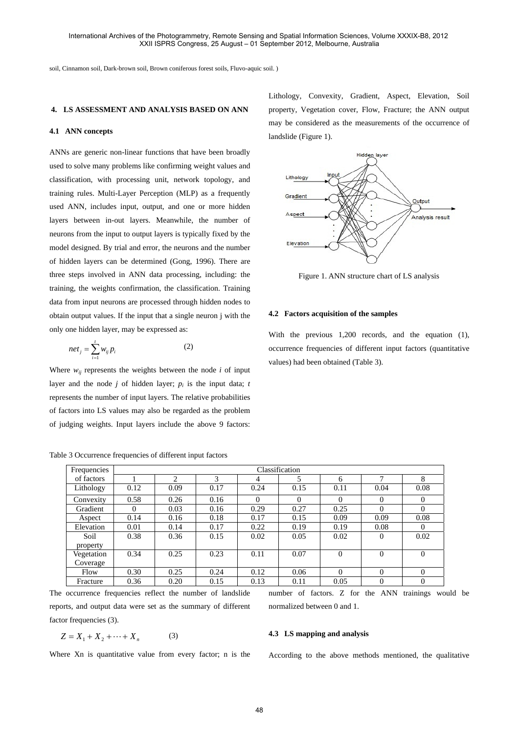soil, Cinnamon soil, Dark-brown soil, Brown coniferous forest soils, Fluvo-aquic soil. )

## **4. LS ASSESSMENT AND ANALYSIS BASED ON ANN**

#### **4.1 ANN concepts**

ANNs are generic non-linear functions that have been broadly used to solve many problems like confirming weight values and classification, with processing unit, network topology, and training rules. Multi-Layer Perception (MLP) as a frequently used ANN, includes input, output, and one or more hidden layers between in-out layers. Meanwhile, the number of neurons from the input to output layers is typically fixed by the model designed. By trial and error, the neurons and the number of hidden layers can be determined (Gong, 1996). There are three steps involved in ANN data processing, including: the training, the weights confirmation, the classification. Training data from input neurons are processed through hidden nodes to obtain output values. If the input that a single neuron j with the only one hidden layer, may be expressed as:

$$
net_j = \sum_{i=1}^{t} w_{ij} p_i
$$
 (2)

Where  $w_{ii}$  represents the weights between the node  $i$  of input layer and the node  $j$  of hidden layer;  $p_i$  is the input data;  $t$ represents the number of input layers. The relative probabilities of factors into LS values may also be regarded as the problem of judging weights. Input layers include the above 9 factors:

Table 3 Occurrence frequencies of different input factors

Lithology, Convexity, Gradient, Aspect, Elevation, Soil property, Vegetation cover, Flow, Fracture; the ANN output may be considered as the measurements of the occurrence of landslide (Figure 1).



Figure 1. ANN structure chart of LS analysis

### **4.2 Factors acquisition of the samples**

With the previous 1,200 records, and the equation (1), occurrence frequencies of different input factors (quantitative values) had been obtained (Table 3).

| Frequencies            | Classification |      |      |          |          |                |                |                |
|------------------------|----------------|------|------|----------|----------|----------------|----------------|----------------|
| of factors             |                | 2    | 3    | 4        | 5        | 6              | 7              | 8              |
| Lithology              | 0.12           | 0.09 | 0.17 | 0.24     | 0.15     | 0.11           | 0.04           | 0.08           |
| Convexity              | 0.58           | 0.26 | 0.16 | $\Omega$ | $\Omega$ | $\Omega$       | $\Omega$       | $\mathbf{0}$   |
| Gradient               | $\Omega$       | 0.03 | 0.16 | 0.29     | 0.27     | 0.25           | 0              | $\overline{0}$ |
| Aspect                 | 0.14           | 0.16 | 0.18 | 0.17     | 0.15     | 0.09           | 0.09           | 0.08           |
| Elevation              | 0.01           | 0.14 | 0.17 | 0.22     | 0.19     | 0.19           | 0.08           | $\Omega$       |
| Soil<br>property       | 0.38           | 0.36 | 0.15 | 0.02     | 0.05     | 0.02           | $\Omega$       | 0.02           |
| Vegetation<br>Coverage | 0.34           | 0.25 | 0.23 | 0.11     | 0.07     | $\overline{0}$ | $\overline{0}$ | $\overline{0}$ |
| Flow                   | 0.30           | 0.25 | 0.24 | 0.12     | 0.06     | 0              | $\theta$       | $\Omega$       |
| Fracture               | 0.36           | 0.20 | 0.15 | 0.13     | 0.11     | 0.05           | $\overline{0}$ | $\mathbf{0}$   |

The occurrence frequencies reflect the number of landslide reports, and output data were set as the summary of different factor frequencies (3).

$$
Z = X_1 + X_2 + \dots + X_n \tag{3}
$$

Where Xn is quantitative value from every factor; n is the

number of factors. Z for the ANN trainings would be normalized between 0 and 1.

## **4.3 LS mapping and analysis**

According to the above methods mentioned, the qualitative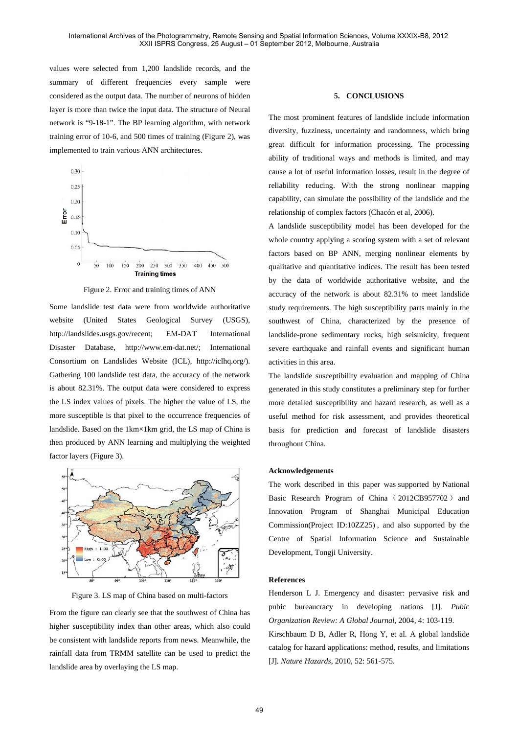values were selected from 1,200 landslide records, and the summary of different frequencies every sample were considered as the output data. The number of neurons of hidden layer is more than twice the input data. The structure of Neural network is "9-18-1". The BP learning algorithm, with network training error of 10-6, and 500 times of training (Figure 2), was implemented to train various ANN architectures.



Figure 2. Error and training times of ANN

Some landslide test data were from worldwide authoritative website (United States Geological Survey (USGS), http://landslides.usgs.gov/recent; EM-DAT International Disaster Database, http://www.em-dat.net/; International Consortium on Landslides Website (ICL), http://iclhq.org/). Gathering 100 landslide test data, the accuracy of the network is about 82.31%. The output data were considered to express the LS index values of pixels. The higher the value of LS, the more susceptible is that pixel to the occurrence frequencies of landslide. Based on the 1km×1km grid, the LS map of China is then produced by ANN learning and multiplying the weighted factor layers (Figure 3).



Figure 3. LS map of China based on multi-factors

From the figure can clearly see that the southwest of China has higher susceptibility index than other areas, which also could be consistent with landslide reports from news. Meanwhile, the rainfall data from TRMM satellite can be used to predict the landslide area by overlaying the LS map.

## **5. CONCLUSIONS**

The most prominent features of landslide include information diversity, fuzziness, uncertainty and randomness, which bring great difficult for information processing. The processing ability of traditional ways and methods is limited, and may cause a lot of useful information losses, result in the degree of reliability reducing. With the strong nonlinear mapping capability, can simulate the possibility of the landslide and the relationship of complex factors (Chacón et al, 2006).

A landslide susceptibility model has been developed for the whole country applying a scoring system with a set of relevant factors based on BP ANN, merging nonlinear elements by qualitative and quantitative indices. The result has been tested by the data of worldwide authoritative website, and the accuracy of the network is about 82.31% to meet landslide study requirements. The high susceptibility parts mainly in the southwest of China, characterized by the presence of landslide-prone sedimentary rocks, high seismicity, frequent severe earthquake and rainfall events and significant human activities in this area.

The landslide susceptibility evaluation and mapping of China generated in this study constitutes a preliminary step for further more detailed susceptibility and hazard research, as well as a useful method for risk assessment, and provides theoretical basis for prediction and forecast of landslide disasters throughout China.

#### **Acknowledgements**

The work described in this paper was supported by National Basic Research Program of China (2012CB957702) and Innovation Program of Shanghai Municipal Education Commission(Project ID:10ZZ25) , and also supported by the Centre of Spatial Information Science and Sustainable Development, Tongji University.

## **References**

Henderson L J. Emergency and disaster: pervasive risk and pubic bureaucracy in developing nations [J]. *Pubic Organization Review: A Global Journal,* 2004, 4: 103-119. Kirschbaum D B, Adler R, Hong Y, et al. A global landslide catalog for hazard applications: method, results, and limitations [J]. *Nature Hazards*, 2010, 52: 561-575.